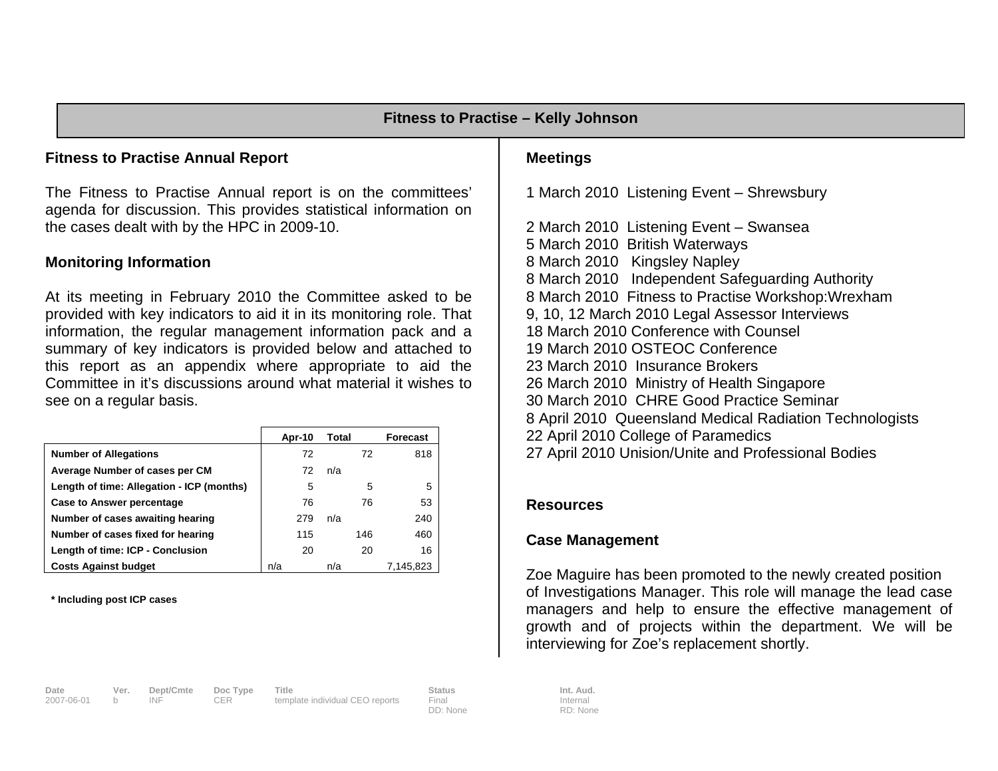### **Fitness to Practise Annual Report**

The Fitness to Practise Annual report is on the committees' agenda for discussion. This provides statistical information on the cases dealt with by the HPC in 2009-10.

#### **Monitoring Information**

At its meeting in February 2010 the Committee asked to be provided with key indicators to aid it in its monitoring role. That information, the regular management information pack and a summary of key indicators is provided below and attached to this report as an appendix where appropriate to aid the Committee in it's discussions around what material it wishes to see on a regular basis.

|                                           | Apr-10 | Total | <b>Forecast</b> |
|-------------------------------------------|--------|-------|-----------------|
| <b>Number of Allegations</b>              | 72     | 72    | 818             |
| Average Number of cases per CM            | 72     | n/a   |                 |
| Length of time: Allegation - ICP (months) | 5      |       | 5<br>5          |
| <b>Case to Answer percentage</b>          | 76     | 76    | 53              |
| Number of cases awaiting hearing          | 279    | n/a   | 240             |
| Number of cases fixed for hearing         | 115    | 146   | 460             |
| Length of time: ICP - Conclusion          | 20     | 20    | 16              |
| <b>Costs Against budget</b>               | n/a    | n/a   | 7,145,823       |

**\* Including post ICP cases** 

# **Date Ver. Dept/Cmte Doc Type Title Status Status Int. Aud.**<br>
2007-06-01 b INF CER template individual CEO reports Final **Internal** Internal

b INF CER template individual CEO reports

DD: None

**Meetings** 

1 March 2010 Listening Event – Shrewsbury

2 March 2010 Listening Event – Swansea 5 March 2010 British Waterways 8 March 2010 Kingsley Napley 8 March 2010 Independent Safeguarding Authority 8 March 2010 Fitness to Practise Workshop:Wrexham 9, 10, 12 March 2010 Legal Assessor Interviews 18 March 2010 Conference with Counsel 19 March 2010 OSTEOC Conference 23 March 2010 Insurance Brokers 26 March 2010 Ministry of Health Singapore 30 March 2010 CHRE Good Practice Seminar 8 April 2010 Queensland Medical Radiation Technologists 22 April 2010 College of Paramedics 27 April 2010 Unision/Unite and Professional Bodies

#### **Resources**

#### **Case Management**

Zoe Maguire has been promoted to the newly created position of Investigations Manager. This role will manage the lead case managers and help to ensure the effective management of growth and of projects within the department. We will be interviewing for Zoe's replacement shortly.

Internal RD: None